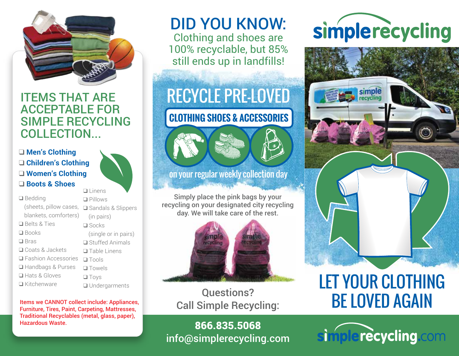

### ITEMS THAT ARE ACCEPTABLE FOR SIMPLE RECYCLING COLLECTION...

### ❑ **Men's Clothing** ❑ **Children's Clothing** ❑ **Women's Clothing** ❑ **Boots & Shoes**

❑ Linens

|                            | ⊔ Linens                    |
|----------------------------|-----------------------------|
| $\Box$ Bedding             | $\Box$ Pillows              |
| (sheets, pillow cases,     | <b>□</b> Sandals & Slippers |
| blankets, comforters)      | (in pairs)                  |
| $\square$ Belts & Ties     | $\square$ Socks             |
| $\square$ Books            | (single or in pairs)        |
| $\square$ Bras             | $\Box$ Stuffed Animals      |
| <b>□</b> Coats & Jackets   | $\Box$ Table Linens         |
| $\Box$ Fashion Accessories | $\Box$ Tools                |
| □ Handbags & Purses        | $\Box$ Towels               |
| <b>□</b> Hats & Gloves     | $\Box$ Toys                 |
| $\Box$ Kitchenware         | <b>Q</b> Undergarments      |
|                            |                             |

Items we CANNOT collect include: Appliances, Furniture, Tires, Paint, Carpeting, Mattresses, Traditional Recyclables (metal, glass, paper), Hazardous Waste.

## DID YOU KNOW:

Clothing and shoes are 100% recyclable, but 85% still ends up in landfills!

## RECYCLE PRE-LOVED

## **CLOTHING SHOES & ACCESSORIES**



Simply place the pink bags by your recycling on your designated city recycling day. We will take care of the rest.



Questions? Call Simple Recycling:

866.835.5068 info@simplerecycling.com

# simplerecycling



## LET YOUR CLOTHING BE LOVED AGAIN